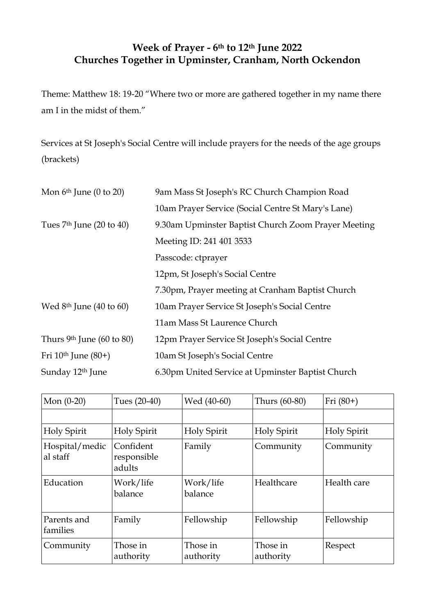## **Week of Prayer - 6th to 12th June 2022 Churches Together in Upminster, Cranham, North Ockendon**

Theme: Matthew 18: 19-20 "Where two or more are gathered together in my name there am I in the midst of them."

Services at St Joseph's Social Centre will include prayers for the needs of the age groups (brackets)

| Mon $6th$ June (0 to 20)              | 9am Mass St Joseph's RC Church Champion Road        |  |
|---------------------------------------|-----------------------------------------------------|--|
|                                       | 10am Prayer Service (Social Centre St Mary's Lane)  |  |
| Tues $7th$ June (20 to 40)            | 9.30am Upminster Baptist Church Zoom Prayer Meeting |  |
|                                       | Meeting ID: 241 401 3533                            |  |
|                                       | Passcode: ctprayer                                  |  |
|                                       | 12pm, St Joseph's Social Centre                     |  |
|                                       | 7.30pm, Prayer meeting at Cranham Baptist Church    |  |
| Wed $8th$ June (40 to 60)             | 10am Prayer Service St Joseph's Social Centre       |  |
|                                       | 11am Mass St Laurence Church                        |  |
| Thurs 9 <sup>th</sup> June (60 to 80) | 12pm Prayer Service St Joseph's Social Centre       |  |
| Fri $10th$ June $(80+)$               | 10am St Joseph's Social Centre                      |  |
| Sunday 12 <sup>th</sup> June          | 6.30pm United Service at Upminster Baptist Church   |  |

| Mon $(0-20)$               | Tues (20-40)                       | Wed (40-60)           | Thurs (60-80)         | Fri $(80+)$ |
|----------------------------|------------------------------------|-----------------------|-----------------------|-------------|
|                            |                                    |                       |                       |             |
| Holy Spirit                | Holy Spirit                        | Holy Spirit           | Holy Spirit           | Holy Spirit |
| Hospital/medic<br>al staff | Confident<br>responsible<br>adults | Family                | Community             | Community   |
| Education                  | Work/life<br>balance               | Work/life<br>balance  | Healthcare            | Health care |
| Parents and<br>families    | Family                             | Fellowship            | Fellowship            | Fellowship  |
| Community                  | Those in<br>authority              | Those in<br>authority | Those in<br>authority | Respect     |